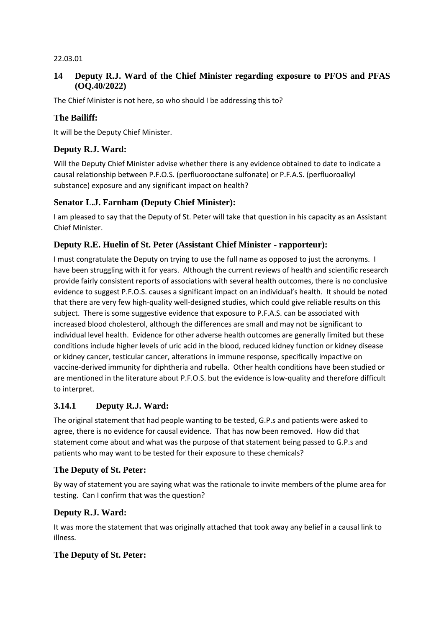#### 22.03.01

### **14 Deputy R.J. Ward of the Chief Minister regarding exposure to PFOS and PFAS (OQ.40/2022)**

The Chief Minister is not here, so who should I be addressing this to?

### **The Bailiff:**

It will be the Deputy Chief Minister.

## **Deputy R.J. Ward:**

Will the Deputy Chief Minister advise whether there is any evidence obtained to date to indicate a causal relationship between P.F.O.S. (perfluorooctane sulfonate) or P.F.A.S. (perfluoroalkyl substance) exposure and any significant impact on health?

#### **Senator L.J. Farnham (Deputy Chief Minister):**

I am pleased to say that the Deputy of St. Peter will take that question in his capacity as an Assistant Chief Minister.

#### **Deputy R.E. Huelin of St. Peter (Assistant Chief Minister - rapporteur):**

I must congratulate the Deputy on trying to use the full name as opposed to just the acronyms. I have been struggling with it for years. Although the current reviews of health and scientific research provide fairly consistent reports of associations with several health outcomes, there is no conclusive evidence to suggest P.F.O.S. causes a significant impact on an individual's health. It should be noted that there are very few high-quality well-designed studies, which could give reliable results on this subject. There is some suggestive evidence that exposure to P.F.A.S. can be associated with increased blood cholesterol, although the differences are small and may not be significant to individual level health. Evidence for other adverse health outcomes are generally limited but these conditions include higher levels of uric acid in the blood, reduced kidney function or kidney disease or kidney cancer, testicular cancer, alterations in immune response, specifically impactive on vaccine-derived immunity for diphtheria and rubella. Other health conditions have been studied or are mentioned in the literature about P.F.O.S. but the evidence is low-quality and therefore difficult to interpret.

#### **3.14.1 Deputy R.J. Ward:**

The original statement that had people wanting to be tested, G.P.s and patients were asked to agree, there is no evidence for causal evidence. That has now been removed. How did that statement come about and what was the purpose of that statement being passed to G.P.s and patients who may want to be tested for their exposure to these chemicals?

#### **The Deputy of St. Peter:**

By way of statement you are saying what was the rationale to invite members of the plume area for testing. Can I confirm that was the question?

#### **Deputy R.J. Ward:**

It was more the statement that was originally attached that took away any belief in a causal link to illness.

#### **The Deputy of St. Peter:**